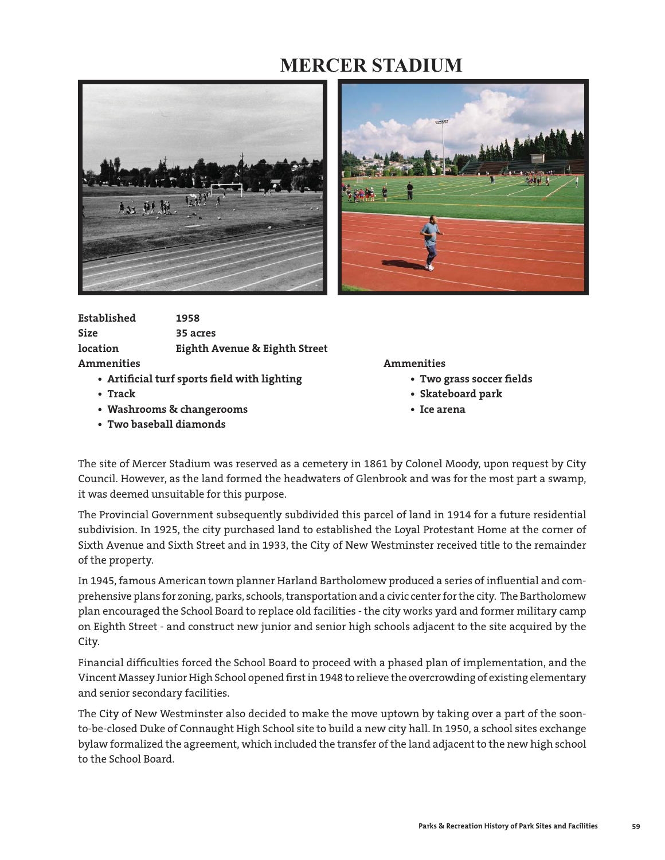## **MERCER STADIUM**





| Established     | 1958                                     |
|-----------------|------------------------------------------|
| <b>Size</b>     | 35 acres                                 |
| <b>location</b> | <b>Eighth Avenue &amp; Eighth Street</b> |
| Ammenities      |                                          |

- Artificial turf sports field with lighting  **Two grass soccer fields**
- 
- **Washrooms & changerooms Ice arena**
- **Two baseball diamonds**

## **Ammenities Ammenities**

- 
- **Track Skateboard park**
	-

The site of Mercer Stadium was reserved as a cemetery in 1861 by Colonel Moody, upon request by City Council. However, as the land formed the headwaters of Glenbrook and was for the most part a swamp, it was deemed unsuitable for this purpose.

The Provincial Government subsequently subdivided this parcel of land in 1914 for a future residential subdivision. In 1925, the city purchased land to established the Loyal Protestant Home at the corner of Sixth Avenue and Sixth Street and in 1933, the City of New Westminster received title to the remainder of the property.

In 1945, famous American town planner Harland Bartholomew produced a series of influential and comprehensive plans for zoning, parks, schools, transportation and a civic center for the city. The Bartholomew plan encouraged the School Board to replace old facilities - the city works yard and former military camp on Eighth Street - and construct new junior and senior high schools adjacent to the site acquired by the City.

Financial difficulties forced the School Board to proceed with a phased plan of implementation, and the Vincent Massey Junior High School opened first in 1948 to relieve the overcrowding of existing elementary and senior secondary facilities.

The City of New Westminster also decided to make the move uptown by taking over a part of the soonto-be-closed Duke of Connaught High School site to build a new city hall. In 1950, a school sites exchange bylaw formalized the agreement, which included the transfer of the land adjacent to the new high school to the School Board.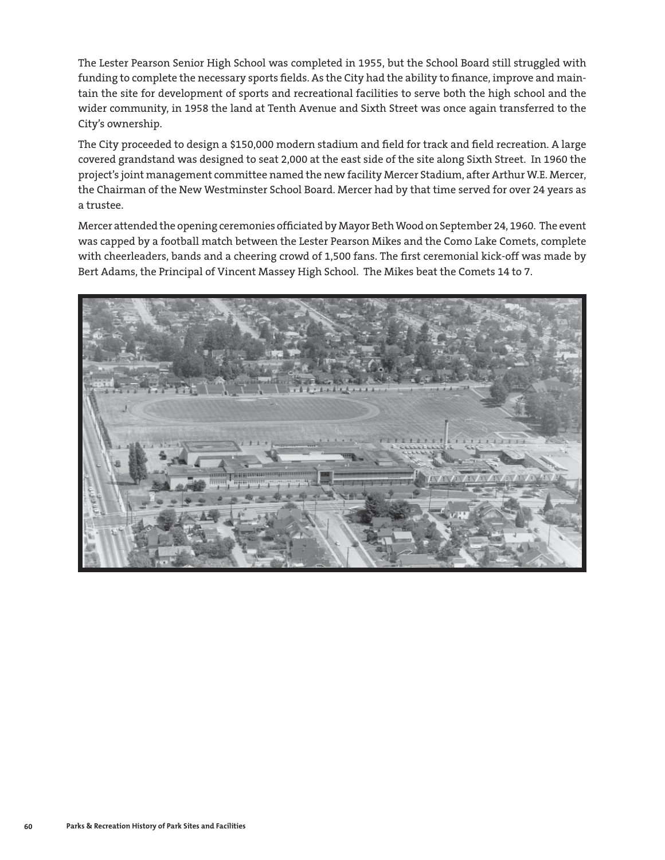The Lester Pearson Senior High School was completed in 1955, but the School Board still struggled with funding to complete the necessary sports fields. As the City had the ability to finance, improve and maintain the site for development of sports and recreational facilities to serve both the high school and the wider community, in 1958 the land at Tenth Avenue and Sixth Street was once again transferred to the City's ownership.

The City proceeded to design a \$150,000 modern stadium and field for track and field recreation. A large covered grandstand was designed to seat 2,000 at the east side of the site along Sixth Street. In 1960 the project's joint management committee named the new facility Mercer Stadium, after Arthur W.E. Mercer, the Chairman of the New Westminster School Board. Mercer had by that time served for over 24 years as a trustee.

Mercer attended the opening ceremonies officiated by Mayor Beth Wood on September 24, 1960. The event was capped by a football match between the Lester Pearson Mikes and the Como Lake Comets, complete with cheerleaders, bands and a cheering crowd of 1,500 fans. The first ceremonial kick-off was made by Bert Adams, the Principal of Vincent Massey High School. The Mikes beat the Comets 14 to 7.